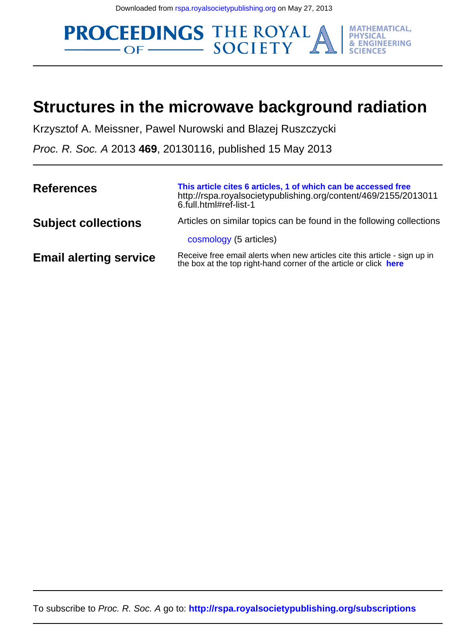**PROCEEDINGS THE ROYAL MATHEMATICAL, & ENGINEERING** 

## **Structures in the microwave background radiation**

Krzysztof A. Meissner, Pawel Nurowski and Blazej Ruszczycki

Proc. R. Soc. A 2013 **469**, 20130116, published 15 May 2013

| <b>References</b>             | This article cites 6 articles, 1 of which can be accessed free<br>http://rspa.royalsocietypublishing.org/content/469/2155/2013011<br>6.full.html#ref-list-1 |
|-------------------------------|-------------------------------------------------------------------------------------------------------------------------------------------------------------|
| <b>Subject collections</b>    | Articles on similar topics can be found in the following collections                                                                                        |
|                               | cosmology (5 articles)                                                                                                                                      |
| <b>Email alerting service</b> | Receive free email alerts when new articles cite this article - sign up in<br>the box at the top right-hand corner of the article or click here             |

To subscribe to Proc. R. Soc. A go to: **<http://rspa.royalsocietypublishing.org/subscriptions>**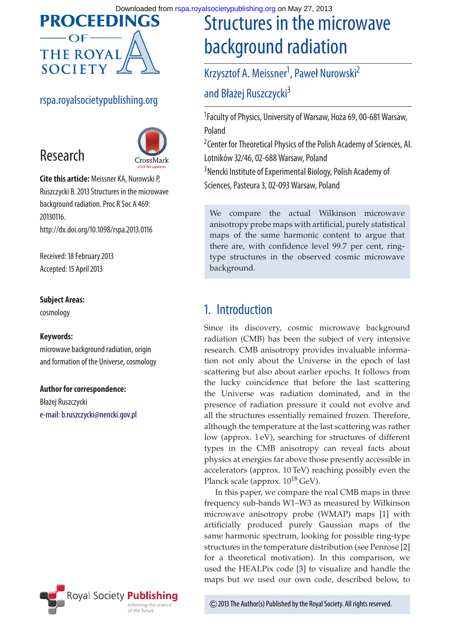

### rspa.royalsocietypublishing.org



**Cite this article:** Meissner KA, Nurowski P, Ruszczycki B. 2013 Structures in the microwave background radiation. Proc R Soc A 469: 20130116. http://dx.doi.org/10.1098/rspa.2013.0116

Received: 18 February 2013 Accepted: 15 April 2013

### **Subject Areas:**

Research

cosmology

#### **Keywords:**

microwave background radiation, origin and formation of the Universe, cosmology

#### **Author for correspondence:**

Błażej Ruszczycki [e-mail: b.ruszczycki@nencki.gov.pl](mailto:b.ruszczycki@nencki.gov.pl)



# Structures in the microwave background radiation

## Krzysztof A. Meissner<sup>1</sup>, Paweł Nurowski<sup>2</sup> and Błażej Ruszczycki<sup>3</sup>

1 Faculty of Physics, University of Warsaw, Hoża 69, 00-681 Warsaw, Poland

<sup>2</sup> Center for Theoretical Physics of the Polish Academy of Sciences, Al. Lotników 32/46, 02-688 Warsaw, Poland

3 Nencki Institute of Experimental Biology, Polish Academy of Sciences, Pasteura 3, 02-093 Warsaw, Poland

We compare the actual Wilkinson microwave anisotropy probe maps with artificial, purely statistical maps of the same harmonic content to argue that there are, with confidence level 99.7 per cent, ringtype structures in the observed cosmic microwave background.

## 1. Introduction

Since its discovery, cosmic microwave background radiation (CMB) has been the subject of very intensive research. CMB anisotropy provides invaluable information not only about the Universe in the epoch of last scattering but also about earlier epochs. It follows from the lucky coincidence that before the last scattering the Universe was radiation dominated, and in the presence of radiation pressure it could not evolve and all the structures essentially remained frozen. Therefore, although the temperature at the last scattering was rather low (approx. 1 eV), searching for structures of different types in the CMB anisotropy can reveal facts about physics at energies far above those presently accessible in accelerators (approx. 10 TeV) reaching possibly even the Planck scale (approx.  $10^{18}$  GeV).

In this paper, we compare the real CMB maps in three frequency sub-bands W1–W3 as measured by Wilkinson microwave anisotropy probe (WMAP) maps [\[1\]](#page-7-0) with artificially produced purely Gaussian maps of the same harmonic spectrum, looking for possible ring-type structures in the temperature distribution (see Penrose [\[2\]](#page-7-1) for a theoretical motivation). In this comparison, we used the HEALPix code [\[3\]](#page-7-2) to visualize and handle the maps but we used our own code, described below, to

2013 The Author(s) Published by the Royal Society. All rights reserved.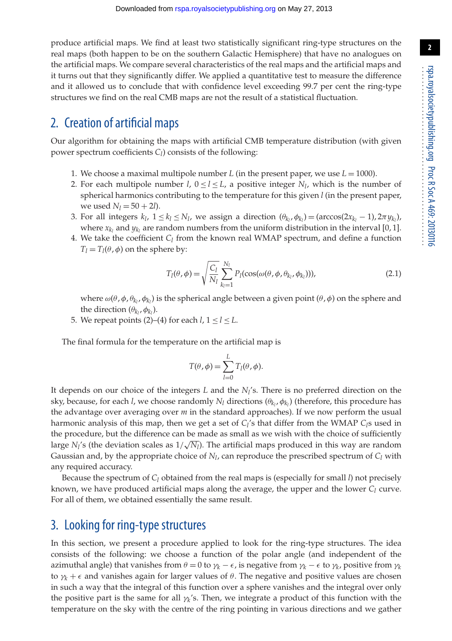produce artificial maps. We find at least two statistically significant ring-type structures on the real maps (both happen to be on the southern Galactic Hemisphere) that have no analogues on the artificial maps. We compare several characteristics of the real maps and the artificial maps and it turns out that they significantly differ. We applied a quantitative test to measure the difference and it allowed us to conclude that with confidence level exceeding 99.7 per cent the ring-type structures we find on the real CMB maps are not the result of a statistical fluctuation.

## 2. Creation of artificial maps

Our algorithm for obtaining the maps with artificial CMB temperature distribution (with given power spectrum coefficients *C*<sub>*l*</sub>) consists of the following:

- 1. We choose a maximal multipole number  $L$  (in the present paper, we use  $L = 1000$ ).
- 2. For each multipole number *l*,  $0 \le l \le L$ , a positive integer  $N_l$ , which is the number of spherical harmonics contributing to the temperature for this given *l* (in the present paper, we used  $N_l = 50 + 2l$ .
- 3. For all integers  $k_l$ ,  $1 \leq k_l \leq N_l$ , we assign a direction  $(\theta_{k_l}, \phi_{k_l}) = (\arccos(2x_{k_l} 1), 2\pi y_{k_l})$ , where  $x_k$  and  $y_k$  are random numbers from the uniform distribution in the interval [0, 1].
- 4. We take the coefficient  $C_l$  from the known real WMAP spectrum, and define a function  $T_l = T_l(\theta, \phi)$  on the sphere by:

$$
T_l(\theta, \phi) = \sqrt{\frac{C_l}{N_l}} \sum_{k_l=1}^{N_l} P_l(\cos(\omega(\theta, \phi, \theta_{k_l}, \phi_{k_l}))),
$$
\n(2.1)

where  $\omega(\theta, \phi, \theta_{k_l}, \phi_{k_l})$  is the spherical angle between a given point  $(\theta, \phi)$  on the sphere and the direction  $(\theta_{k_l}, \phi_{k_l})$ .

5. We repeat points (2)–(4) for each  $l, 1 \le l \le L$ .

The final formula for the temperature on the artificial map is

$$
T(\theta,\phi) = \sum_{l=0}^{L} T_l(\theta,\phi).
$$

It depends on our choice of the integers *L* and the *Nl*'s. There is no preferred direction on the sky, because, for each *l*, we choose randomly  $N_l$  directions  $(\theta_{k_l}, \phi_{k_l})$  (therefore, this procedure has the advantage over averaging over *m* in the standard approaches). If we now perform the usual harmonic analysis of this map, then we get a set of *Cl*'s that differ from the WMAP *Cl*s used in the procedure, but the difference can be made as small as we wish with the choice of sufficiently large *N<sub>l</sub>*'s (the deviation scales as  $1/\sqrt{N_l}$ ). The artificial maps produced in this way are random Gaussian and, by the appropriate choice of  $N_l$ , can reproduce the prescribed spectrum of  $C_l$  with any required accuracy.

Because the spectrum of  $C_l$  obtained from the real maps is (especially for small *l*) not precisely known, we have produced artificial maps along the average, the upper and the lower  $C_l$  curve. For all of them, we obtained essentially the same result.

## 3. Looking for ring-type structures

In this section, we present a procedure applied to look for the ring-type structures. The idea consists of the following: we choose a function of the polar angle (and independent of the azimuthal angle) that vanishes from  $\theta = 0$  to  $\gamma_k - \epsilon$ , is negative from  $\gamma_k - \epsilon$  to  $\gamma_k$ , positive from  $\gamma_k$ to  $\gamma_k + \epsilon$  and vanishes again for larger values of  $\theta$ . The negative and positive values are chosen in such a way that the integral of this function over a sphere vanishes and the integral over only the positive part is the same for all  $\gamma_k$ 's. Then, we integrate a product of this function with the temperature on the sky with the centre of the ring pointing in various directions and we gather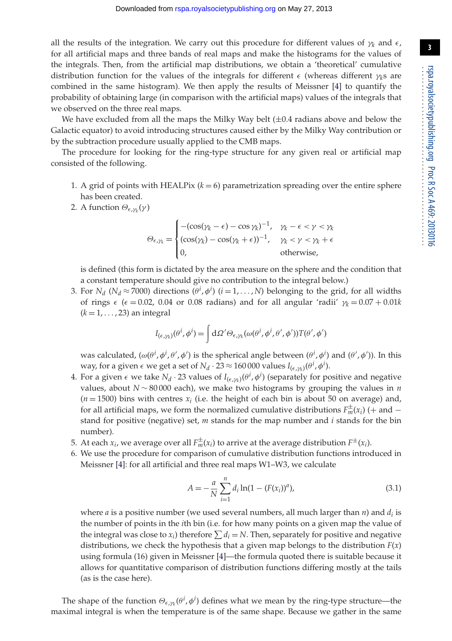all the results of the integration. We carry out this procedure for different values of  $\gamma_k$  and  $\epsilon$ , for all artificial maps and three bands of real maps and make the histograms for the values of the integrals. Then, from the artificial map distributions, we obtain a 'theoretical' cumulative distribution function for the values of the integrals for different  $\epsilon$  (whereas different  $\gamma_k$ s are combined in the same histogram). We then apply the results of Meissner [\[4\]](#page-7-3) to quantify the probability of obtaining large (in comparison with the artificial maps) values of the integrals that we observed on the three real maps.

We have excluded from all the maps the Milky Way belt  $(\pm 0.4 \text{ radians}$  above and below the Galactic equator) to avoid introducing structures caused either by the Milky Way contribution or by the subtraction procedure usually applied to the CMB maps.

The procedure for looking for the ring-type structure for any given real or artificial map consisted of the following.

- 1. A grid of points with HEALPix  $(k = 6)$  parametrization spreading over the entire sphere has been created.
- 2. A function  $\Theta_{\epsilon,\nu}(\gamma)$

$$
\Theta_{\epsilon,\gamma_k} = \begin{cases}\n-(\cos(\gamma_k - \epsilon) - \cos \gamma_k)^{-1}, & \gamma_k - \epsilon < \gamma < \gamma_k \\
(\cos(\gamma_k) - \cos(\gamma_k + \epsilon))^{-1}, & \gamma_k < \gamma < \gamma_k + \epsilon \\
0, & \text{otherwise,} \n\end{cases}
$$

is defined (this form is dictated by the area measure on the sphere and the condition that a constant temperature should give no contribution to the integral below.)

3. For  $N_d$  ( $N_d \approx 7000$ ) directions ( $\theta^i$ ,  $\phi^i$ ) ( $i = 1, ..., N$ ) belonging to the grid, for all widths of rings  $\epsilon$  ( $\epsilon = 0.02$ , 0.04 or 0.08 radians) and for all angular 'radii'  $\gamma_k = 0.07 + 0.01k$  $(k = 1, \ldots, 23)$  an integral

$$
I_{(\epsilon,\gamma_k)}(\theta^i,\phi^i) = \int d\Omega' \Theta_{\epsilon,\gamma_k}(\omega(\theta^i,\phi^i,\theta',\phi'))T(\theta',\phi')
$$

was calculated,  $(\omega(\theta^i, \phi^i, \theta', \phi')$  is the spherical angle between  $(\theta^i, \phi^i)$  and  $(\theta', \phi')$ ). In this way, for a given  $\epsilon$  we get a set of  $N_d \cdot 23 \approx 160\,000$  values  $I_{(\epsilon,\gamma_k)}(\theta^i, \phi^i)$ .

- 4. For a given  $\epsilon$  we take  $N_d \cdot 23$  values of  $I_{(\epsilon,\gamma_k)}(\theta^i, \phi^i)$  (separately for positive and negative values, about *N* ∼ 80 000 each), we make two histograms by grouping the values in *n*  $(n = 1500)$  bins with centres  $x_i$  (i.e. the height of each bin is about 50 on average) and, for all artificial maps, we form the normalized cumulative distributions  $F_m^{\pm}(x_i)$  (+ and  $$ stand for positive (negative) set, *m* stands for the map number and *i* stands for the bin number).
- 5. At each  $x_i$ , we average over all  $F_m^{\pm}(x_i)$  to arrive at the average distribution  $F^{\pm}(x_i)$ .
- 6. We use the procedure for comparison of cumulative distribution functions introduced in Meissner [\[4\]](#page-7-3): for all artificial and three real maps W1–W3, we calculate

$$
A = -\frac{a}{N} \sum_{i=1}^{n} d_i \ln(1 - (F(x_i))^a),
$$
\n(3.1)

where *a* is a positive number (we used several numbers, all much larger than *n*) and  $d_i$  is the number of points in the *i*th bin (i.e. for how many points on a given map the value of the integral was close to  $x_i$ ) therefore  $\sum d_i = N$ . Then, separately for positive and negative distributions, we check the hypothesis that a given map belongs to the distribution  $F(x)$ using formula (16) given in Meissner [\[4\]](#page-7-3)—the formula quoted there is suitable because it allows for quantitative comparison of distribution functions differing mostly at the tails (as is the case here).

The shape of the function  $\Theta_{\epsilon,\gamma_k}(\theta^i,\phi^i)$  defines what we mean by the ring-type structure—the maximal integral is when the temperature is of the same shape. Because we gather in the same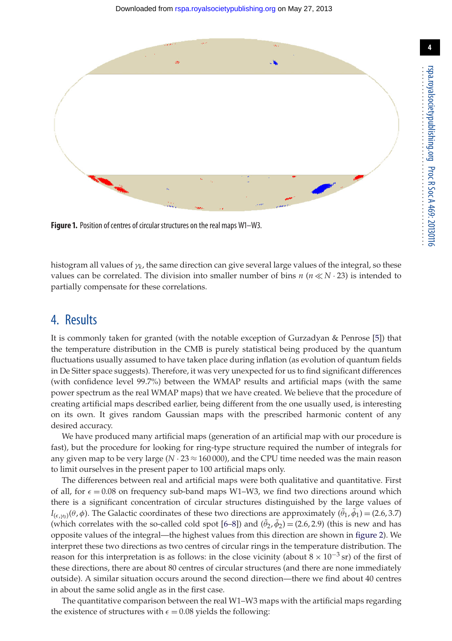

**Figure 1.** Position of centres of circular structures on the real maps W1–W3.

<span id="page-4-0"></span>histogram all values of γ*k*, the same direction can give several large values of the integral, so these values can be correlated. The division into smaller number of bins  $n (n \ll N \cdot 23)$  is intended to partially compensate for these correlations.

### 4. Results

It is commonly taken for granted (with the notable exception of Gurzadyan & Penrose [\[5\]](#page-7-4)) that the temperature distribution in the CMB is purely statistical being produced by the quantum fluctuations usually assumed to have taken place during inflation (as evolution of quantum fields in De Sitter space suggests). Therefore, it was very unexpected for us to find significant differences (with confidence level 99.7%) between the WMAP results and artificial maps (with the same power spectrum as the real WMAP maps) that we have created. We believe that the procedure of creating artificial maps described earlier, being different from the one usually used, is interesting on its own. It gives random Gaussian maps with the prescribed harmonic content of any desired accuracy.

We have produced many artificial maps (generation of an artificial map with our procedure is fast), but the procedure for looking for ring-type structure required the number of integrals for any given map to be very large  $(N \cdot 23 \approx 160000)$ , and the CPU time needed was the main reason to limit ourselves in the present paper to 100 artificial maps only.

The differences between real and artificial maps were both qualitative and quantitative. First of all, for  $\epsilon = 0.08$  on frequency sub-band maps W1–W3, we find two directions around which there is a significant concentration of circular structures distinguished by the large values of *I*<sub>( $\epsilon$ </sub>, $\gamma$ <sub>0</sub>)( $\theta$ , $\phi$ ). The Galactic coordinates of these two directions are approximately ( $\theta$ <sub>1</sub>, $\phi$ <sub>1</sub>) = (2.6,3.7) (which correlates with the so-called cold spot  $[6-8]$  $[6-8]$ ) and  $(\theta_2, \phi_2) = (2.6, 2.9)$  (this is new and has opposite values of the integral—the highest values from this direction are shown in [figure 2\)](#page-5-0). We interpret these two directions as two centres of circular rings in the temperature distribution. The reason for this interpretation is as follows: in the close vicinity (about  $8 \times 10^{-3}$  sr) of the first of these directions, there are about 80 centres of circular structures (and there are none immediately outside). A similar situation occurs around the second direction—there we find about 40 centres in about the same solid angle as in the first case.

The quantitative comparison between the real W1–W3 maps with the artificial maps regarding the existence of structures with  $\epsilon = 0.08$  yields the following: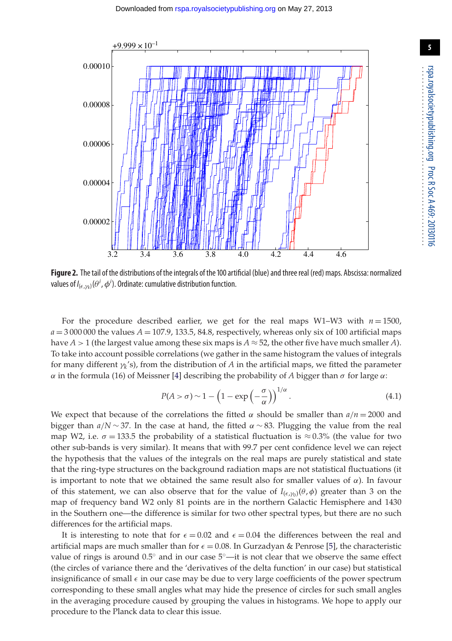

<span id="page-5-0"></span>**Figure 2.** The tail of the distributions of the integrals of the 100 artificial (blue) and three real (red) maps. Abscissa: normalized values of  $I_{(\epsilon,\gamma_k)}(\theta^i, \phi^i)$ . Ordinate: cumulative distribution function.

For the procedure described earlier, we get for the real maps W1–W3 with  $n = 1500$ ,  $a = 3000000$  the values  $A = 107.9$ , 133.5, 84.8, respectively, whereas only six of 100 artificial maps have *A* > 1 (the largest value among these six maps is  $A \approx 52$ , the other five have much smaller *A*). To take into account possible correlations (we gather in the same histogram the values of integrals for many different  $\gamma_k$ 's), from the distribution of *A* in the artificial maps, we fitted the parameter α in the formula (16) of Meissner [\[4\]](#page-7-3) describing the probability of *A* bigger than σ for large α:

$$
P(A > \sigma) \sim 1 - \left(1 - \exp\left(-\frac{\sigma}{\alpha}\right)\right)^{1/\alpha}.\tag{4.1}
$$

We expect that because of the correlations the fitted  $\alpha$  should be smaller than  $a/n = 2000$  and bigger than  $a/N \sim 37$ . In the case at hand, the fitted  $\alpha \sim 83$ . Plugging the value from the real map W2, i.e.  $\sigma = 133.5$  the probability of a statistical fluctuation is  $\approx 0.3\%$  (the value for two other sub-bands is very similar). It means that with 99.7 per cent confidence level we can reject the hypothesis that the values of the integrals on the real maps are purely statistical and state that the ring-type structures on the background radiation maps are not statistical fluctuations (it is important to note that we obtained the same result also for smaller values of  $\alpha$ ). In favour of this statement, we can also observe that for the value of  $I_{(\epsilon,\gamma_0)}(\theta,\phi)$  greater than 3 on the map of frequency band W2 only 81 points are in the northern Galactic Hemisphere and 1430 in the Southern one—the difference is similar for two other spectral types, but there are no such differences for the artificial maps.

It is interesting to note that for  $\epsilon = 0.02$  and  $\epsilon = 0.04$  the differences between the real and artificial maps are much smaller than for  $\epsilon = 0.08$ . In Gurzadyan & Penrose [\[5\]](#page-7-4), the characteristic value of rings is around  $0.5°$  and in our case  $5°$ —it is not clear that we observe the same effect (the circles of variance there and the 'derivatives of the delta function' in our case) but statistical insignificance of small  $\epsilon$  in our case may be due to very large coefficients of the power spectrum corresponding to these small angles what may hide the presence of circles for such small angles in the averaging procedure caused by grouping the values in histograms. We hope to apply our procedure to the Planck data to clear this issue.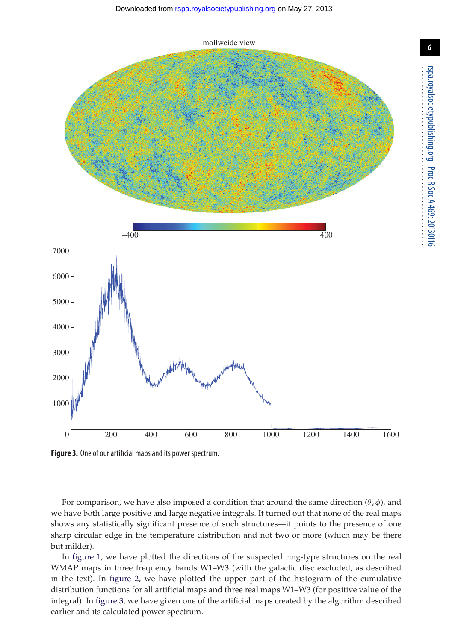

<span id="page-6-0"></span>**Figure 3.** One of our artificial maps and its power spectrum.

For comparison, we have also imposed a condition that around the same direction  $(\theta, \phi)$ , and we have both large positive and large negative integrals. It turned out that none of the real maps shows any statistically significant presence of such structures—it points to the presence of one sharp circular edge in the temperature distribution and not two or more (which may be there but milder).

In [figure 1,](#page-4-0) we have plotted the directions of the suspected ring-type structures on the real WMAP maps in three frequency bands W1–W3 (with the galactic disc excluded, as described in the text). In [figure 2,](#page-5-0) we have plotted the upper part of the histogram of the cumulative distribution functions for all artificial maps and three real maps W1–W3 (for positive value of the integral). In [figure 3,](#page-6-0) we have given one of the artificial maps created by the algorithm described earlier and its calculated power spectrum.

rspa.royalsocietypublishing.org

..................................................

Proc R Soc A 469:

20130116